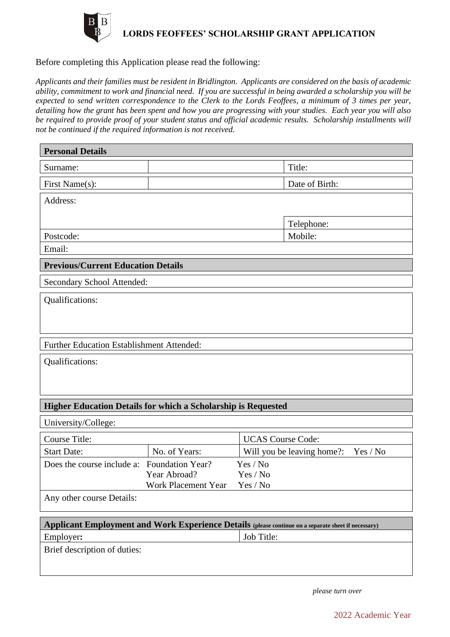

## **LORDS FEOFFEES' SCHOLARSHIP GRANT APPLICATION**

## Before completing this Application please read the following:

*Applicants and their families must be resident in Bridlington. Applicants are considered on the basis of academic ability, commitment to work and financial need. If you are successful in being awarded a scholarship you will be expected to send written correspondence to the Clerk to the Lords Feoffees, a minimum of 3 times per year, detailing how the grant has been spent and how you are progressing with your studies. Each year you will also be required to provide proof of your student status and official academic results. Scholarship installments will not be continued if the required information is not received.*

| <b>Personal Details</b>                                                                             |                                        |
|-----------------------------------------------------------------------------------------------------|----------------------------------------|
| Surname:                                                                                            | Title:                                 |
| First Name(s):                                                                                      | Date of Birth:                         |
| Address:                                                                                            |                                        |
|                                                                                                     |                                        |
| Postcode:                                                                                           | Telephone:<br>Mobile:                  |
| Email:                                                                                              |                                        |
|                                                                                                     |                                        |
| <b>Previous/Current Education Details</b>                                                           |                                        |
| Secondary School Attended:                                                                          |                                        |
| Qualifications:                                                                                     |                                        |
|                                                                                                     |                                        |
|                                                                                                     |                                        |
| <b>Further Education Establishment Attended:</b>                                                    |                                        |
| Qualifications:                                                                                     |                                        |
|                                                                                                     |                                        |
|                                                                                                     |                                        |
| <b>Higher Education Details for which a Scholarship is Requested</b>                                |                                        |
| University/College:                                                                                 |                                        |
| <b>Course Title:</b>                                                                                | <b>UCAS</b> Course Code:               |
| <b>Start Date:</b><br>No. of Years:                                                                 | Will you be leaving home?:<br>Yes / No |
| Does the course include a: Foundation Year?                                                         | Yes / No                               |
| Year Abroad?                                                                                        | Yes / No<br>Yes / No                   |
| Work Placement Year<br>Any other course Details:                                                    |                                        |
|                                                                                                     |                                        |
| Applicant Employment and Work Experience Details (please continue on a separate sheet if necessary) |                                        |
| Employer:                                                                                           | Job Title:                             |
| Brief description of duties:                                                                        |                                        |
|                                                                                                     |                                        |
|                                                                                                     |                                        |

*please turn over*